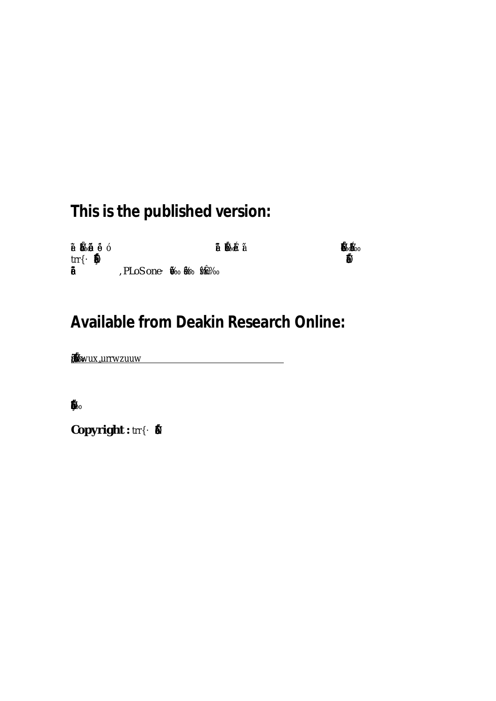# **This is the published version:**

| €                          |              | D. |    |
|----------------------------|--------------|----|----|
| trr <b>it</b> <sub>o</sub> |              |    | Ť. |
| $\%$                       | , PLoS oneie |    |    |

## **Available from Deakin Research Online:**

**Š–'ã-ІŽäŠƒ•†Ž‡ä•–-**<u>Sfrwarrwau</u> **-**

 $\mathbf{M}_{\odot}$ **‡'"'†—…‡†™‹–Ї•‹•†'‡"•‹•'•ˆ–Ї…''›"‹‰Š–'™•‡"ä**

 $Copyright : trr$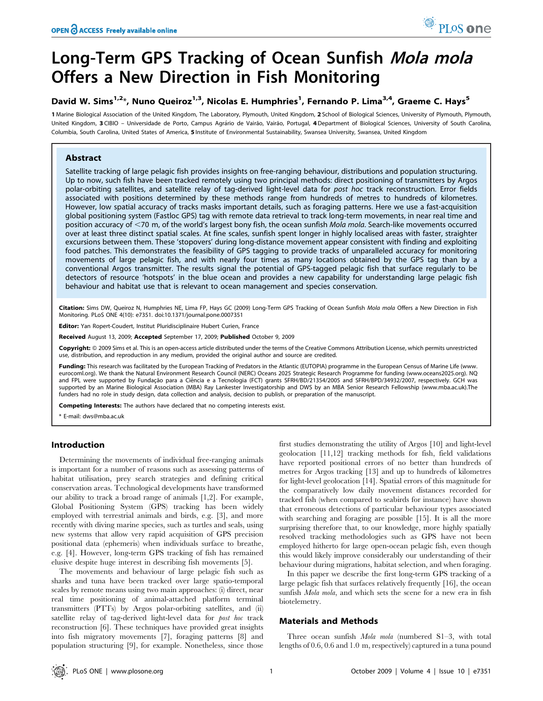### Long-Term GPS Tracking of Ocean Sunfish Mola mola Offers a New Direction in Fish Monitoring

### David W. Sims<sup>1,2</sup>\*, Nuno Queiroz<sup>1,3</sup>, Nicolas E. Humphries<sup>1</sup>, Fernando P. Lima<sup>3,4</sup>, Graeme C. Hays<sup>5</sup>

1 Marine Biological Association of the United Kingdom, The Laboratory, Plymouth, United Kingdom, 2 School of Biological Sciences, University of Plymouth, Plymouth, United Kingdom, 3 CIBIO - Universidade de Porto, Campus Agrário de Vairão, Vairão, Portugal, 4 Department of Biological Sciences, University of South Carolina, Columbia, South Carolina, United States of America, 5 Institute of Environmental Sustainability, Swansea University, Swansea, United Kingdom

#### Abstract

Satellite tracking of large pelagic fish provides insights on free-ranging behaviour, distributions and population structuring. Up to now, such fish have been tracked remotely using two principal methods: direct positioning of transmitters by Argos polar-orbiting satellites, and satellite relay of tag-derived light-level data for post hoc track reconstruction. Error fields associated with positions determined by these methods range from hundreds of metres to hundreds of kilometres. However, low spatial accuracy of tracks masks important details, such as foraging patterns. Here we use a fast-acquisition global positioning system (Fastloc GPS) tag with remote data retrieval to track long-term movements, in near real time and position accuracy of <70 m, of the world's largest bony fish, the ocean sunfish Mola mola. Search-like movements occurred over at least three distinct spatial scales. At fine scales, sunfish spent longer in highly localised areas with faster, straighter excursions between them. These 'stopovers' during long-distance movement appear consistent with finding and exploiting food patches. This demonstrates the feasibility of GPS tagging to provide tracks of unparalleled accuracy for monitoring movements of large pelagic fish, and with nearly four times as many locations obtained by the GPS tag than by a conventional Argos transmitter. The results signal the potential of GPS-tagged pelagic fish that surface regularly to be detectors of resource 'hotspots' in the blue ocean and provides a new capability for understanding large pelagic fish behaviour and habitat use that is relevant to ocean management and species conservation.

Citation: Sims DW, Queiroz N, Humphries NE, Lima FP, Hays GC (2009) Long-Term GPS Tracking of Ocean Sunfish Mola mola Offers a New Direction in Fish Monitoring. PLoS ONE 4(10): e7351. doi:10.1371/journal.pone.0007351

Editor: Yan Ropert-Coudert, Institut Pluridisciplinaire Hubert Curien, France

Received August 13, 2009; Accepted September 17, 2009; Published October 9, 2009

Copyright: @ 2009 Sims et al. This is an open-access article distributed under the terms of the Creative Commons Attribution License, which permits unrestricted use, distribution, and reproduction in any medium, provided the original author and source are credited.

Funding: This research was facilitated by the European Tracking of Predators in the Atlantic (EUTOPIA) programme in the European Census of Marine Life (www. eurocoml.org). We thank the Natural Environment Research Council (NERC) Oceans 2025 Strategic Research Programme for funding (www.oceans2025.org). NQ and FPL were supported by Fundação para a Ciência e a Tecnologia (FCT) grants SFRH/BD/21354/2005 and SFRH/BPD/34932/2007, respectively. GCH was supported by an Marine Biological Association (MBA) Ray Lankester Investigatorship and DWS by an MBA Senior Research Fellowship (www.mba.ac.uk).The funders had no role in study design, data collection and analysis, decision to publish, or preparation of the manuscript.

Competing Interests: The authors have declared that no competing interests exist.

\* E-mail: dws@mba.ac.uk

#### Introduction

Determining the movements of individual free-ranging animals is important for a number of reasons such as assessing patterns of habitat utilisation, prey search strategies and defining critical conservation areas. Technological developments have transformed our ability to track a broad range of animals [1,2]. For example, Global Positioning System (GPS) tracking has been widely employed with terrestrial animals and birds, e.g. [3], and more recently with diving marine species, such as turtles and seals, using new systems that allow very rapid acquisition of GPS precision positional data (ephemeris) when individuals surface to breathe, e.g. [4]. However, long-term GPS tracking of fish has remained elusive despite huge interest in describing fish movements [5].

The movements and behaviour of large pelagic fish such as sharks and tuna have been tracked over large spatio-temporal scales by remote means using two main approaches: (i) direct, near real time positioning of animal-attached platform terminal transmitters (PTTs) by Argos polar-orbiting satellites, and (ii) satellite relay of tag-derived light-level data for post hoc track reconstruction [6]. These techniques have provided great insights into fish migratory movements [7], foraging patterns [8] and population structuring [9], for example. Nonetheless, since those first studies demonstrating the utility of Argos [10] and light-level geolocation [11,12] tracking methods for fish, field validations have reported positional errors of no better than hundreds of metres for Argos tracking [13] and up to hundreds of kilometres for light-level geolocation [14]. Spatial errors of this magnitude for the comparatively low daily movement distances recorded for tracked fish (when compared to seabirds for instance) have shown that erroneous detections of particular behaviour types associated with searching and foraging are possible [15]. It is all the more surprising therefore that, to our knowledge, more highly spatially resolved tracking methodologies such as GPS have not been employed hitherto for large open-ocean pelagic fish, even though this would likely improve considerably our understanding of their behaviour during migrations, habitat selection, and when foraging.

In this paper we describe the first long-term GPS tracking of a large pelagic fish that surfaces relatively frequently [16], the ocean sunfish Mola mola, and which sets the scene for a new era in fish biotelemetry.

#### Materials and Methods

Three ocean sunfish *Mola mola* (numbered S1–3, with total lengths of 0.6, 0.6 and 1.0 m, respectively) captured in a tuna pound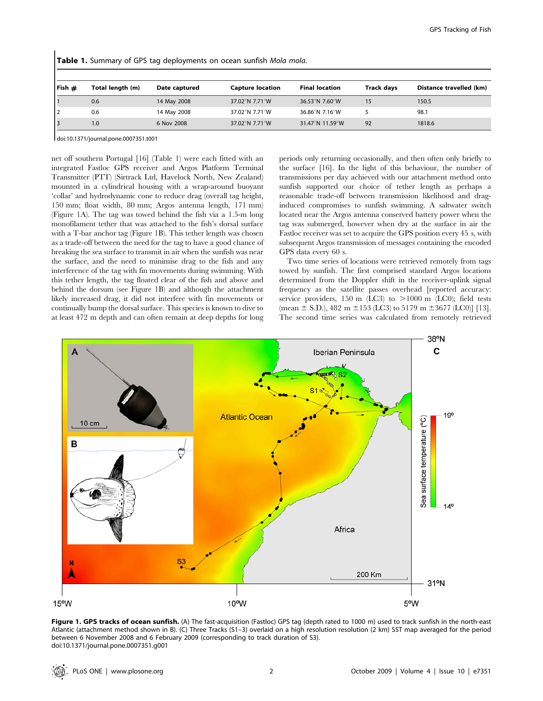| $ $ Fish $\#$ | Total length (m) | Date captured | <b>Capture location</b> | <b>Final location</b> | <b>Track days</b> | Distance travelled (km) |
|---------------|------------------|---------------|-------------------------|-----------------------|-------------------|-------------------------|
|               | 0.6              | 14 May 2008   | 37.02°N 7.71°W          | 36.53°N 7.60°W        | 15                | 150.5                   |
|               | 0.6              | 14 May 2008   | 37.02°N 7.71°W          | 36.86°N 7.16°W        |                   | 98.1                    |
|               | 1.0              | 6 Nov 2008    | 37.02°N 7.71°W          | 31.47°N 11.59°W       | 92                | 1818.6                  |

Table 1. Summary of GPS tag deployments on ocean sunfish Mola mola.

doi:10.1371/journal.pone.0007351.t001

net off southern Portugal [16] (Table 1) were each fitted with an integrated Fastloc GPS receiver and Argos Platform Terminal Transmitter (PTT) (Sirtrack Ltd, Havelock North, New Zealand) mounted in a cylindrical housing with a wrap-around buoyant 'collar' and hydrodynamic cone to reduce drag (overall tag height, 150 mm; float width, 80 mm; Argos antenna length, 171 mm) (Figure 1A). The tag was towed behind the fish via a 1.5-m long monofilament tether that was attached to the fish's dorsal surface with a T-bar anchor tag (Figure 1B). This tether length was chosen as a trade-off between the need for the tag to have a good chance of breaking the sea surface to transmit in air when the sunfish was near the surface, and the need to minimise drag to the fish and any interference of the tag with fin movements during swimming. With this tether length, the tag floated clear of the fish and above and behind the dorsum (see Figure 1B) and although the attachment likely increased drag, it did not interfere with fin movements or continually bump the dorsal surface. This species is known to dive to at least 472 m depth and can often remain at deep depths for long periods only returning occasionally, and then often only briefly to the surface [16]. In the light of this behaviour, the number of transmissions per day achieved with our attachment method onto sunfish supported our choice of tether length as perhaps a reasonable trade-off between transmission likelihood and draginduced compromises to sunfish swimming. A saltwater switch located near the Argos antenna conserved battery power when the tag was submerged, however when dry at the surface in air the Fastloc receiver was set to acquire the GPS position every 45 s, with subsequent Argos transmission of messages containing the encoded GPS data every 60 s.

Two time series of locations were retrieved remotely from tags towed by sunfish. The first comprised standard Argos locations determined from the Doppler shift in the receiver-uplink signal frequency as the satellite passes overhead [reported accuracy: service providers, 150 m (LC3) to  $>1000$  m (LC0); field tests (mean  $\pm$  S.D.), 482 m  $\pm$ 153 (LC3) to 5179 m  $\pm$ 3677 (LC0)] [13]. The second time series was calculated from remotely retrieved



Figure 1. GPS tracks of ocean sunfish. (A) The fast-acquisition (Fastloc) GPS tag (depth rated to 1000 m) used to track sunfish in the north-east Atlantic (attachment method shown in B). (C) Three Tracks (S1–3) overlaid on a high resolution resolution (2 km) SST map averaged for the period between 6 November 2008 and 6 February 2009 (corresponding to track duration of S3). doi:10.1371/journal.pone.0007351.g001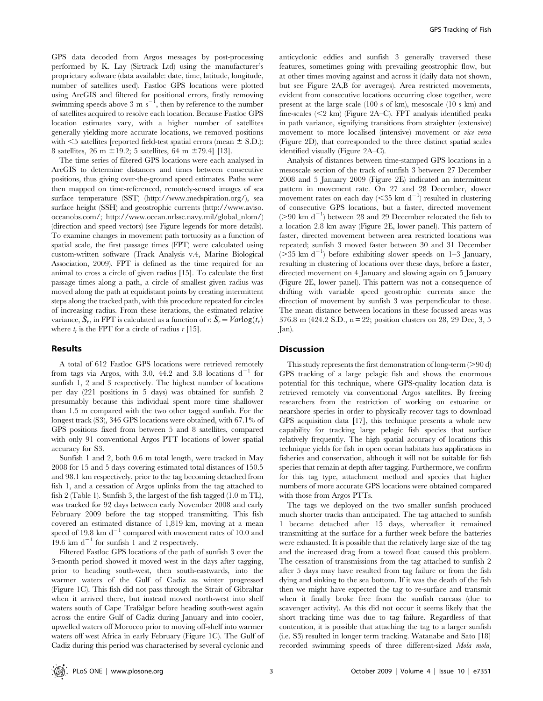GPS data decoded from Argos messages by post-processing performed by K. Lay (Sirtrack Ltd) using the manufacturer's proprietary software (data available: date, time, latitude, longitude, number of satellites used). Fastloc GPS locations were plotted using ArcGIS and filtered for positional errors, firstly removing swimming speeds above 3 m  $s^{-1}$ , then by reference to the number of satellites acquired to resolve each location. Because Fastloc GPS location estimates vary, with a higher number of satellites generally yielding more accurate locations, we removed positions with  $\leq$ 5 satellites [reported field-test spatial errors (mean  $\pm$  S.D.): 8 satellites, 26 m  $\pm$ 19.2; 5 satellites, 64 m  $\pm$ 79.4] [13].

The time series of filtered GPS locations were each analysed in ArcGIS to determine distances and times between consecutive positions, thus giving over-the-ground speed estimates. Paths were then mapped on time-referenced, remotely-sensed images of sea surface temperature (SST) (http://www.medspiration.org/), sea surface height (SSH) and geostrophic currents (http://www.aviso. oceanobs.com/; http://www.ocean.nrlssc.navy.mil/global\_nlom/) (direction and speed vectors) (see Figure legends for more details). To examine changes in movement path tortuosity as a function of spatial scale, the first passage times (FPT) were calculated using custom-written software (Track Analysis v.4, Marine Biological Association, 2009). FPT is defined as the time required for an animal to cross a circle of given radius [15]. To calculate the first passage times along a path, a circle of smallest given radius was moved along the path at equidistant points by creating intermittent steps along the tracked path, with this procedure repeated for circles of increasing radius. From these iterations, the estimated relative variance,  $S_r$ , in FPT is calculated as a function of r:  $S_r = Varlog(t_r)$ where  $t_r$  is the FPT for a circle of radius  $r$  [15].

#### Results

A total of 612 Fastloc GPS locations were retrieved remotely from tags via Argos, with 3.0, 44.2 and 3.8 locations  $d^{-1}$  for sunfish 1, 2 and 3 respectively. The highest number of locations per day (221 positions in 5 days) was obtained for sunfish 2 presumably because this individual spent more time shallower than 1.5 m compared with the two other tagged sunfish. For the longest track (S3), 346 GPS locations were obtained, with 67.1% of GPS positions fixed from between 5 and 8 satellites, compared with only 91 conventional Argos PTT locations of lower spatial accuracy for S3.

Sunfish 1 and 2, both 0.6 m total length, were tracked in May 2008 for 15 and 5 days covering estimated total distances of 150.5 and 98.1 km respectively, prior to the tag becoming detached from fish 1, and a cessation of Argos uplinks from the tag attached to fish 2 (Table 1). Sunfish 3, the largest of the fish tagged (1.0 m TL), was tracked for 92 days between early November 2008 and early February 2009 before the tag stopped transmitting. This fish covered an estimated distance of 1,819 km, moving at a mean speed of 19.8 km  $d^{-1}$  compared with movement rates of 10.0 and 19.6 km  $d^{-1}$  for sunfish 1 and 2 respectively.

Filtered Fastloc GPS locations of the path of sunfish 3 over the 3-month period showed it moved west in the days after tagging, prior to heading south-west, then south-eastwards, into the warmer waters of the Gulf of Cadiz as winter progressed (Figure 1C). This fish did not pass through the Strait of Gibraltar when it arrived there, but instead moved north-west into shelf waters south of Cape Trafalgar before heading south-west again across the entire Gulf of Cadiz during January and into cooler, upwelled waters off Morocco prior to moving off-shelf into warmer waters off west Africa in early February (Figure 1C). The Gulf of Cadiz during this period was characterised by several cyclonic and anticyclonic eddies and sunfish 3 generally traversed these features, sometimes going with prevailing geostrophic flow, but at other times moving against and across it (daily data not shown, but see Figure 2A,B for averages). Area restricted movements, evident from consecutive locations occurring close together, were present at the large scale (100 s of km), mesoscale (10 s km) and fine-scales  $(< 2$  km) (Figure 2A–C). FPT analysis identified peaks in path variance, signifying transitions from straighter (extensive) movement to more localised (intensive) movement or *vice versa* (Figure 2D), that corresponded to the three distinct spatial scales identified visually (Figure 2A–C).

Analysis of distances between time-stamped GPS locations in a mesoscale section of the track of sunfish 3 between 27 December 2008 and 5 January 2009 (Figure 2E) indicated an intermittent pattern in movement rate. On 27 and 28 December, slower movement rates on each day ( $\leq$ 35 km d<sup>-1</sup>) resulted in clustering of consecutive GPS locations, but a faster, directed movement  $(>90 \text{ km d}^{-1})$  between 28 and 29 December relocated the fish to a location 2.8 km away (Figure 2E, lower panel). This pattern of faster, directed movement between area restricted locations was repeated; sunfish 3 moved faster between 30 and 31 December  $($ >35 km d<sup>-1</sup>) before exhibiting slower speeds on 1-3 January, resulting in clustering of locations over these days, before a faster, directed movement on 4 January and slowing again on 5 January (Figure 2E, lower panel). This pattern was not a consequence of drifting with variable speed geostrophic currents since the direction of movement by sunfish 3 was perpendicular to these. The mean distance between locations in these focussed areas was 376.8 m (424.2 S.D., n = 22; position clusters on 28, 29 Dec, 3, 5 Jan).

#### **Discussion**

This study represents the first demonstration of long-term  $(>90 d)$ GPS tracking of a large pelagic fish and shows the enormous potential for this technique, where GPS-quality location data is retrieved remotely via conventional Argos satellites. By freeing researchers from the restriction of working on estuarine or nearshore species in order to physically recover tags to download GPS acquisition data [17], this technique presents a whole new capability for tracking large pelagic fish species that surface relatively frequently. The high spatial accuracy of locations this technique yields for fish in open ocean habitats has applications in fisheries and conservation, although it will not be suitable for fish species that remain at depth after tagging. Furthermore, we confirm for this tag type, attachment method and species that higher numbers of more accurate GPS locations were obtained compared with those from Argos PTTs.

The tags we deployed on the two smaller sunfish produced much shorter tracks than anticipated. The tag attached to sunfish 1 became detached after 15 days, whereafter it remained transmitting at the surface for a further week before the batteries were exhausted. It is possible that the relatively large size of the tag and the increased drag from a towed float caused this problem. The cessation of transmissions from the tag attached to sunfish 2 after 5 days may have resulted from tag failure or from the fish dying and sinking to the sea bottom. If it was the death of the fish then we might have expected the tag to re-surface and transmit when it finally broke free from the sunfish carcass (due to scavenger activity). As this did not occur it seems likely that the short tracking time was due to tag failure. Regardless of that contention, it is possible that attaching the tag to a larger sunfish (i.e. S3) resulted in longer term tracking. Watanabe and Sato [18] recorded swimming speeds of three different-sized Mola mola,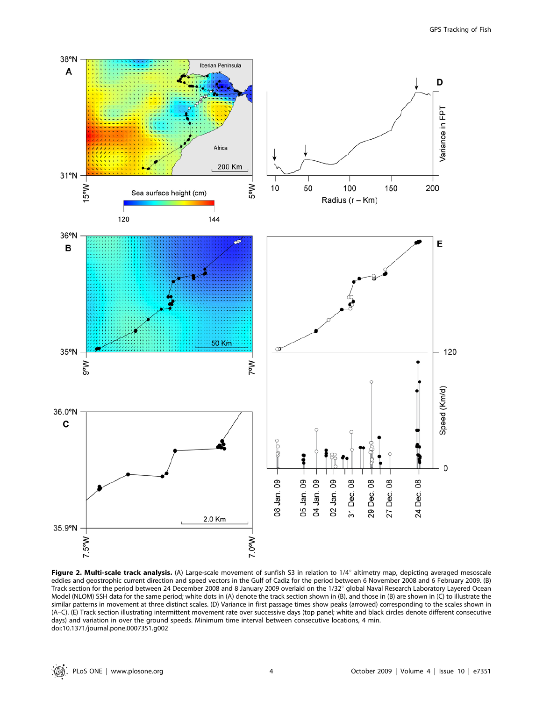

Figure 2. Multi-scale track analysis. (A) Large-scale movement of sunfish S3 in relation to  $1/4^{\circ}$  altimetry map, depicting averaged mesoscale eddies and geostrophic current direction and speed vectors in the Gulf of Cadiz for the period between 6 November 2008 and 6 February 2009. (B) Track section for the period between 24 December 2008 and 8 January 2009 overlaid on the 1/32° global Naval Research Laboratory Layered Ocean Model (NLOM) SSH data for the same period; white dots in (A) denote the track section shown in (B), and those in (B) are shown in (C) to illustrate the similar patterns in movement at three distinct scales. (D) Variance in first passage times show peaks (arrowed) corresponding to the scales shown in (A–C). (E) Track section illustrating intermittent movement rate over successive days (top panel; white and black circles denote different consecutive days) and variation in over the ground speeds. Minimum time interval between consecutive locations, 4 min. doi:10.1371/journal.pone.0007351.g002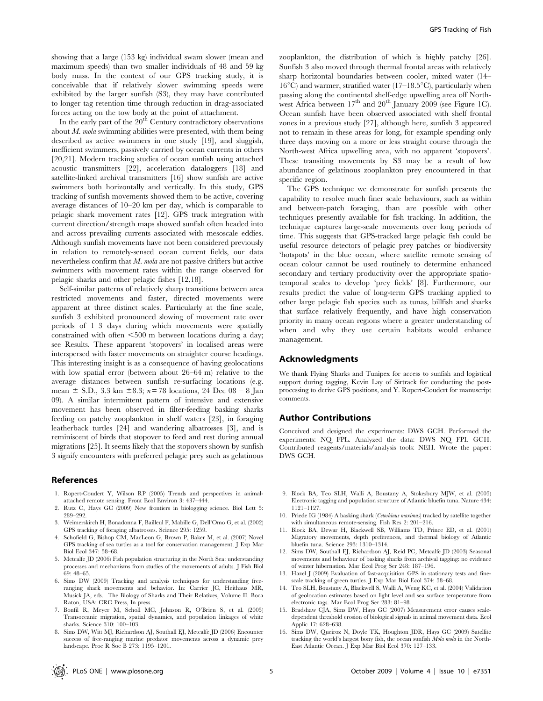showing that a large (153 kg) individual swam slower (mean and maximum speeds) than two smaller individuals of 48 and 59 kg body mass. In the context of our GPS tracking study, it is conceivable that if relatively slower swimming speeds were exhibited by the larger sunfish (S3), they may have contributed to longer tag retention time through reduction in drag-associated forces acting on the tow body at the point of attachment.

In the early part of the  $20<sup>th</sup>$  Century contradictory observations about  $M$ . mola swimming abilities were presented, with them being described as active swimmers in one study [19], and sluggish, inefficient swimmers, passively carried by ocean currents in others [20,21]. Modern tracking studies of ocean sunfish using attached acoustic transmitters [22], acceleration dataloggers [18] and satellite-linked archival transmitters [16] show sunfish are active swimmers both horizontally and vertically. In this study, GPS tracking of sunfish movements showed them to be active, covering average distances of 10–20 km per day, which is comparable to pelagic shark movement rates [12]. GPS track integration with current direction/strength maps showed sunfish often headed into and across prevailing currents associated with mesoscale eddies. Although sunfish movements have not been considered previously in relation to remotely-sensed ocean current fields, our data nevertheless confirm that  $M$ . mola are not passive drifters but active swimmers with movement rates within the range observed for pelagic sharks and other pelagic fishes [12,18].

Self-similar patterns of relatively sharp transitions between area restricted movements and faster, directed movements were apparent at three distinct scales. Particularly at the fine scale, sunfish 3 exhibited pronounced slowing of movement rate over periods of 1–3 days during which movements were spatially constrained with often  $\leq 500$  m between locations during a day; see Results. These apparent 'stopovers' in localised areas were interspersed with faster movements on straighter course headings. This interesting insight is as a consequence of having geolocations with low spatial error (between about 26–64 m) relative to the average distances between sunfish re-surfacing locations (e.g. mean  $\pm$  S.D., 3.3 km  $\pm$ 8.3; n = 78 locations, 24 Dec 08 – 8 Jan 09). A similar intermittent pattern of intensive and extensive movement has been observed in filter-feeding basking sharks feeding on patchy zooplankton in shelf waters [23], in foraging leatherback turtles [24] and wandering albatrosses [3], and is reminiscent of birds that stopover to feed and rest during annual migrations [25]. It seems likely that the stopovers shown by sunfish 3 signify encounters with preferred pelagic prey such as gelatinous

#### References

- 1. Ropert-Coudert Y, Wilson RP (2005) Trends and perspectives in animalattached remote sensing. Front Ecol Environ 3: 437–444.
- 2. Rutz C, Hays GC (2009) New frontiers in biologging science. Biol Lett 5: 289–292.
- 3. Weimerskirch H, Bonadonna F, Bailleul F, Mabille G, Dell'Omo G, et al. (2002) GPS tracking of foraging albatrosses. Science 295: 1259.
- 4. Schofield G, Bishop CM, MacLeon G, Brown P, Baker M, et al. (2007) Novel GPS tracking of sea turtles as a tool for conservation management. J Exp Mar Biol Ecol 347: 58–68.
- 5. Metcalfe JD (2006) Fish population structuring in the North Sea: understanding processes and mechanisms from studies of the movements of adults. J Fish Biol 69: 48–65.
- 6. Sims DW (2009) Tracking and analysis techniques for understanding freeranging shark movements and behavior. In: Carrier JC, Heithaus MR, Musick JA, eds. The Biology of Sharks and Their Relatives, Volume II. Boca Raton, USA: CRC Press, In press.
- 7. Bonfil R, Meyer M, Scholl MC, Johnson R, O'Brien S, et al. (2005) Transoceanic migration, spatial dynamics, and population linkages of white sharks. Science 310: 100–103.
- 8. Sims DW, Witt MJ, Richardson AJ, Southall EJ, Metcalfe JD (2006) Encounter success of free-ranging marine predator movements across a dynamic prey landscape. Proc R Soc B 273: 1195–1201.

zooplankton, the distribution of which is highly patchy [26]. Sunfish 3 also moved through thermal frontal areas with relatively sharp horizontal boundaries between cooler, mixed water (14–  $16^{\circ}$ C) and warmer, stratified water (17–18.5 $^{\circ}$ C), particularly when passing along the continental shelf-edge upwelling area off Northwest Africa between  $17<sup>th</sup>$  and  $20<sup>th</sup>$  January  $2009$  (see Figure 1C). Ocean sunfish have been observed associated with shelf frontal zones in a previous study [27], although here, sunfish 3 appeared not to remain in these areas for long, for example spending only three days moving on a more or less straight course through the North-west Africa upwelling area, with no apparent 'stopovers'. These transiting movements by S3 may be a result of low abundance of gelatinous zooplankton prey encountered in that specific region.

The GPS technique we demonstrate for sunfish presents the capability to resolve much finer scale behaviours, such as within and between-patch foraging, than are possible with other techniques presently available for fish tracking. In addition, the technique captures large-scale movements over long periods of time. This suggests that GPS-tracked large pelagic fish could be useful resource detectors of pelagic prey patches or biodiversity 'hotspots' in the blue ocean, where satellite remote sensing of ocean colour cannot be used routinely to determine enhanced secondary and tertiary productivity over the appropriate spatiotemporal scales to develop 'prey fields' [8]. Furthermore, our results predict the value of long-term GPS tracking applied to other large pelagic fish species such as tunas, billfish and sharks that surface relatively frequently, and have high conservation priority in many ocean regions where a greater understanding of when and why they use certain habitats would enhance management.

#### Acknowledgments

We thank Flying Sharks and Tunipex for access to sunfish and logistical support during tagging, Kevin Lay of Sirtrack for conducting the postprocessing to derive GPS positions, and Y. Ropert-Coudert for manuscript comments.

#### Author Contributions

Conceived and designed the experiments: DWS GCH. Performed the experiments: NQ FPL. Analyzed the data: DWS NQ FPL GCH. Contributed reagents/materials/analysis tools: NEH. Wrote the paper: DWS GCH.

- 9. Block BA, Teo SLH, Walli A, Boustany A, Stokesbury MJW, et al. (2005) Electronic tagging and population structure of Atlantic bluefin tuna. Nature 434: 1121–1127.
- 10. Priede IG (1984) A basking shark (Cetorhinus maximus) tracked by satellite together with simultaneous remote-sensing. Fish Res 2: 201–216.
- 11. Block BA, Dewar H, Blackwell SB, Williams TD, Prince ED, et al. (2001) Migratory movements, depth preferences, and thermal biology of Atlantic bluefin tuna. Science 293: 1310–1314.
- 12. Sims DW, Southall EJ, Richardson AJ, Reid PC, Metcalfe JD (2003) Seasonal movements and behaviour of basking sharks from archival tagging: no evidence of winter hibernation. Mar Ecol Prog Ser 248: 187–196.
- 13. Hazel J (2009) Evaluation of fast-acquisition GPS in stationary tests and finescale tracking of green turtles. J Exp Mar Biol Ecol 374: 58–68.
- 14. Teo SLH, Boustany A, Blackwell S, Walli A, Weng KC, et al. (2004) Validation of geolocation estimates based on light level and sea surface temperature from electronic tags. Mar Ecol Prog Ser 283: 81–98.
- 15. Bradshaw CJA, Sims DW, Hays GC (2007) Measurement error causes scaledependent threshold erosion of biological signals in animal movement data. Ecol Applic 17: 628–638.
- 16. Sims DW, Queiroz N, Doyle TK, Houghton JDR, Hays GC (2009) Satellite tracking the world's largest bony fish, the ocean sunfish Mola mola in the North-East Atlantic Ocean. J Exp Mar Biol Ecol 370: 127–133.